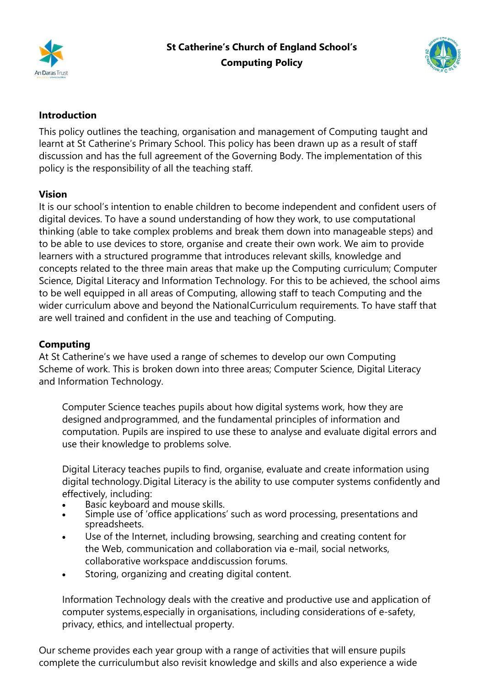



## **Introduction**

This policy outlines the teaching, organisation and management of Computing taught and learnt at St Catherine's Primary School. This policy has been drawn up as a result of staff discussion and has the full agreement of the Governing Body. The implementation of this policy is the responsibility of all the teaching staff.

## **Vision**

It is our school's intention to enable children to become independent and confident users of digital devices. To have a sound understanding of how they work, to use computational thinking (able to take complex problems and break them down into manageable steps) and to be able to use devices to store, organise and create their own work. We aim to provide learners with a structured programme that introduces relevant skills, knowledge and concepts related to the three main areas that make up the Computing curriculum; Computer Science, Digital Literacy and Information Technology. For this to be achieved, the school aims to be well equipped in all areas of Computing, allowing staff to teach Computing and the wider curriculum above and beyond the NationalCurriculum requirements. To have staff that are well trained and confident in the use and teaching of Computing.

## **Computing**

At St Catherine's we have used a range of schemes to develop our own Computing Scheme of work. This is broken down into three areas; Computer Science, Digital Literacy and Information Technology.

Computer Science teaches pupils about how digital systems work, how they are designed andprogrammed, and the fundamental principles of information and computation. Pupils are inspired to use these to analyse and evaluate digital errors and use their knowledge to problems solve.

Digital Literacy teaches pupils to find, organise, evaluate and create information using digital technology.Digital Literacy is the ability to use computer systems confidently and effectively, including:

- Basic keyboard and mouse skills.
- Simple use of 'office applications' such as word processing, presentations and spreadsheets.
- Use of the Internet, including browsing, searching and creating content for the Web, communication and collaboration via e-mail, social networks, collaborative workspace anddiscussion forums.
- Storing, organizing and creating digital content.

Information Technology deals with the creative and productive use and application of computer systems,especially in organisations, including considerations of e-safety, privacy, ethics, and intellectual property.

Our scheme provides each year group with a range of activities that will ensure pupils complete the curriculumbut also revisit knowledge and skills and also experience a wide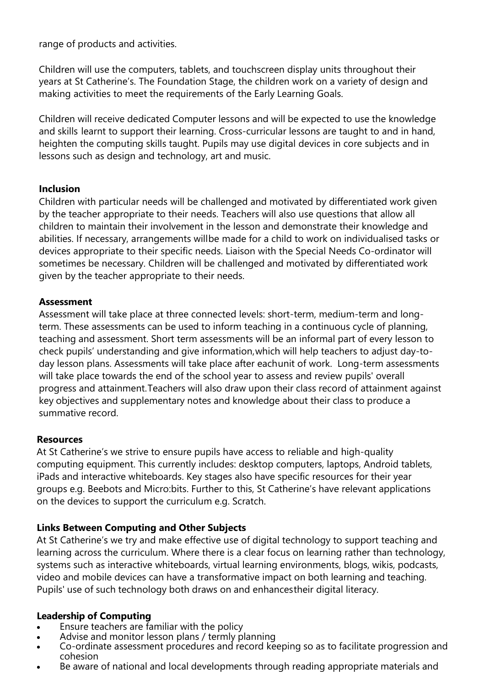range of products and activities.

Children will use the computers, tablets, and touchscreen display units throughout their years at St Catherine's. The Foundation Stage, the children work on a variety of design and making activities to meet the requirements of the Early Learning Goals.

Children will receive dedicated Computer lessons and will be expected to use the knowledge and skills learnt to support their learning. Cross-curricular lessons are taught to and in hand, heighten the computing skills taught. Pupils may use digital devices in core subjects and in lessons such as design and technology, art and music.

### **Inclusion**

Children with particular needs will be challenged and motivated by differentiated work given by the teacher appropriate to their needs. Teachers will also use questions that allow all children to maintain their involvement in the lesson and demonstrate their knowledge and abilities. If necessary, arrangements willbe made for a child to work on individualised tasks or devices appropriate to their specific needs. Liaison with the Special Needs Co-ordinator will sometimes be necessary. Children will be challenged and motivated by differentiated work given by the teacher appropriate to their needs.

#### **Assessment**

Assessment will take place at three connected levels: short-term, medium-term and longterm. These assessments can be used to inform teaching in a continuous cycle of planning, teaching and assessment. Short term assessments will be an informal part of every lesson to check pupils' understanding and give information,which will help teachers to adjust day-today lesson plans. Assessments will take place after eachunit of work. Long-term assessments will take place towards the end of the school year to assess and review pupils' overall progress and attainment.Teachers will also draw upon their class record of attainment against key objectives and supplementary notes and knowledge about their class to produce a summative record.

## **Resources**

At St Catherine's we strive to ensure pupils have access to reliable and high-quality computing equipment. This currently includes: desktop computers, laptops, Android tablets, iPads and interactive whiteboards. Key stages also have specific resources for their year groups e.g. Beebots and Micro:bits. Further to this, St Catherine's have relevant applications on the devices to support the curriculum e.g. Scratch.

## **Links Between Computing and Other Subjects**

At St Catherine's we try and make effective use of digital technology to support teaching and learning across the curriculum. Where there is a clear focus on learning rather than technology, systems such as interactive whiteboards, virtual learning environments, blogs, wikis, podcasts, video and mobile devices can have a transformative impact on both learning and teaching. Pupils' use of such technology both draws on and enhancestheir digital literacy.

## **Leadership of Computing**

- Ensure teachers are familiar with the policy
- Advise and monitor lesson plans / termly planning
- Co-ordinate assessment procedures and record keeping so as to facilitate progression and cohesion
- Be aware of national and local developments through reading appropriate materials and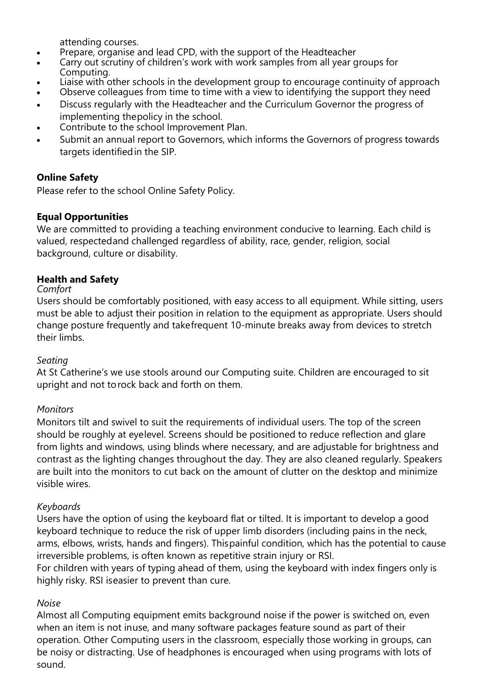attending courses.

- Prepare, organise and lead CPD, with the support of the Headteacher
- Carry out scrutiny of children's work with work samples from all year groups for Computing.
- Liaise with other schools in the development group to encourage continuity of approach
- Observe colleagues from time to time with a view to identifying the support they need • Discuss regularly with the Headteacher and the Curriculum Governor the progress of
- implementing thepolicy in the school.
- Contribute to the school Improvement Plan.
- Submit an annual report to Governors, which informs the Governors of progress towards targets identifiedin the SIP.

# **Online Safety**

Please refer to the school Online Safety Policy.

## **Equal Opportunities**

We are committed to providing a teaching environment conducive to learning. Each child is valued, respectedand challenged regardless of ability, race, gender, religion, social background, culture or disability.

## **Health and Safety**

#### *Comfort*

Users should be comfortably positioned, with easy access to all equipment. While sitting, users must be able to adjust their position in relation to the equipment as appropriate. Users should change posture frequently and takefrequent 10-minute breaks away from devices to stretch their limbs.

## *Seating*

At St Catherine's we use stools around our Computing suite. Children are encouraged to sit upright and not torock back and forth on them.

## *Monitors*

Monitors tilt and swivel to suit the requirements of individual users. The top of the screen should be roughly at eyelevel. Screens should be positioned to reduce reflection and glare from lights and windows, using blinds where necessary, and are adjustable for brightness and contrast as the lighting changes throughout the day. They are also cleaned regularly. Speakers are built into the monitors to cut back on the amount of clutter on the desktop and minimize visible wires.

#### *Keyboards*

Users have the option of using the keyboard flat or tilted. It is important to develop a good keyboard technique to reduce the risk of upper limb disorders (including pains in the neck, arms, elbows, wrists, hands and fingers). Thispainful condition, which has the potential to cause irreversible problems, is often known as repetitive strain injury or RSI.

For children with years of typing ahead of them, using the keyboard with index fingers only is highly risky. RSI iseasier to prevent than cure.

## *Noise*

Almost all Computing equipment emits background noise if the power is switched on, even when an item is not inuse, and many software packages feature sound as part of their operation. Other Computing users in the classroom, especially those working in groups, can be noisy or distracting. Use of headphones is encouraged when using programs with lots of sound.